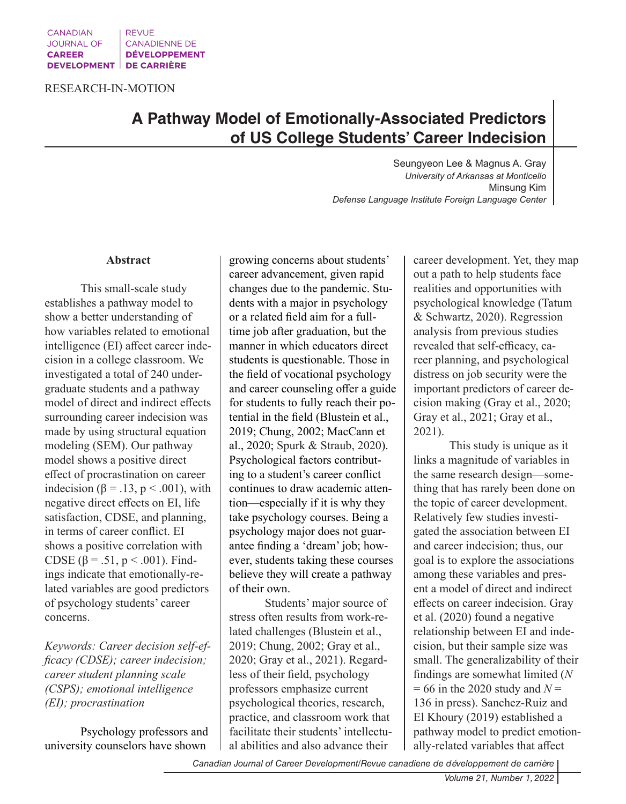RESEARCH-IN-MOTION

# **A Pathway Model of Emotionally-Associated Predictors of US College Students' Career Indecision**

Seungyeon Lee & Magnus A. Gray *University of Arkansas at Monticello* Minsung Kim *Defense Language Institute Foreign Language Center* 

#### **Abstract**

This small-scale study establishes a pathway model to show a better understanding of how variables related to emotional intelligence (EI) affect career indecision in a college classroom. We investigated a total of 240 undergraduate students and a pathway model of direct and indirect effects surrounding career indecision was made by using structural equation modeling (SEM). Our pathway model shows a positive direct effect of procrastination on career indecision ( $\beta = .13$ ,  $p < .001$ ), with negative direct effects on EI, life satisfaction, CDSE, and planning, in terms of career conflict. EI shows a positive correlation with CDSE (β = .51, p < .001). Findings indicate that emotionally-related variables are good predictors of psychology students' career concerns.

*Keywords: Career decision self-efficacy (CDSE); career indecision; career student planning scale (CSPS); emotional intelligence (EI); procrastination*

Psychology professors and university counselors have shown

growing concerns about students' career advancement, given rapid changes due to the pandemic. Students with a major in psychology or a related field aim for a fulltime job after graduation, but the manner in which educators direct students is questionable. Those in the field of vocational psychology and career counseling offer a guide for students to fully reach their potential in the field (Blustein et al., 2019; Chung, 2002; MacCann et al., 2020; Spurk & Straub, 2020). Psychological factors contributing to a student's career conflict continues to draw academic attention—especially if it is why they take psychology courses. Being a psychology major does not guarantee finding a 'dream' job; however, students taking these courses believe they will create a pathway of their own.

Students' major source of stress often results from work-related challenges (Blustein et al., 2019; Chung, 2002; Gray et al., 2020; Gray et al., 2021). Regardless of their field, psychology professors emphasize current psychological theories, research, practice, and classroom work that facilitate their students' intellectual abilities and also advance their

career development. Yet, they map out a path to help students face realities and opportunities with psychological knowledge (Tatum & Schwartz, 2020). Regression analysis from previous studies revealed that self-efficacy, career planning, and psychological distress on job security were the important predictors of career decision making (Gray et al., 2020; Gray et al., 2021; Gray et al., 2021).

This study is unique as it links a magnitude of variables in the same research design—something that has rarely been done on the topic of career development. Relatively few studies investigated the association between EI and career indecision; thus, our goal is to explore the associations among these variables and present a model of direct and indirect effects on career indecision. Gray et al. (2020) found a negative relationship between EI and indecision, but their sample size was small. The generalizability of their findings are somewhat limited (*N*  $= 66$  in the 2020 study and  $N =$ 136 in press). Sanchez-Ruiz and El Khoury (2019) established a pathway model to predict emotionally-related variables that affect

*Canadian Journal of Career Development/Revue canadiene de développement de carrière*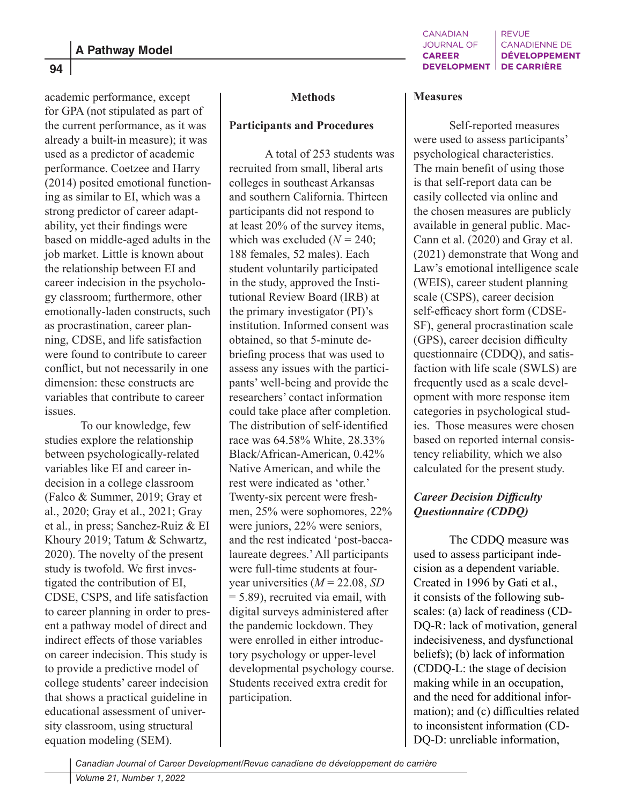academic performance, except for GPA (not stipulated as part of the current performance, as it was already a built-in measure); it was used as a predictor of academic performance. Coetzee and Harry (2014) posited emotional functioning as similar to EI, which was a strong predictor of career adaptability, yet their findings were based on middle-aged adults in the job market. Little is known about the relationship between EI and career indecision in the psychology classroom; furthermore, other emotionally-laden constructs, such as procrastination, career planning, CDSE, and life satisfaction were found to contribute to career conflict, but not necessarily in one dimension: these constructs are variables that contribute to career issues.

To our knowledge, few studies explore the relationship between psychologically-related variables like EI and career indecision in a college classroom (Falco & Summer, 2019; Gray et al., 2020; Gray et al., 2021; Gray et al., in press; Sanchez-Ruiz & EI Khoury 2019; Tatum & Schwartz, 2020). The novelty of the present study is twofold. We first investigated the contribution of EI, CDSE, CSPS, and life satisfaction to career planning in order to present a pathway model of direct and indirect effects of those variables on career indecision. This study is to provide a predictive model of college students' career indecision that shows a practical guideline in educational assessment of university classroom, using structural equation modeling (SEM).

#### **Methods**

# **Participants and Procedures**

A total of 253 students was recruited from small, liberal arts colleges in southeast Arkansas and southern California. Thirteen participants did not respond to at least 20% of the survey items, which was excluded  $(N = 240)$ ; 188 females, 52 males). Each student voluntarily participated in the study, approved the Institutional Review Board (IRB) at the primary investigator (PI)'s institution. Informed consent was obtained, so that 5-minute debriefing process that was used to assess any issues with the participants' well-being and provide the researchers' contact information could take place after completion. The distribution of self-identified race was 64.58% White, 28.33% Black/African-American, 0.42% Native American, and while the rest were indicated as 'other.' Twenty-six percent were freshmen, 25% were sophomores, 22% were juniors, 22% were seniors, and the rest indicated 'post-baccalaureate degrees.' All participants were full-time students at fouryear universities (*M* = 22.08, *SD*  $= 5.89$ ), recruited via email, with digital surveys administered after the pandemic lockdown. They were enrolled in either introductory psychology or upper-level developmental psychology course. Students received extra credit for participation.

#### **Measures**

Self-reported measures were used to assess participants' psychological characteristics. The main benefit of using those is that self-report data can be easily collected via online and the chosen measures are publicly available in general public. Mac-Cann et al. (2020) and Gray et al. (2021) demonstrate that Wong and Law's emotional intelligence scale (WEIS), career student planning scale (CSPS), career decision self-efficacy short form (CDSE-SF), general procrastination scale (GPS), career decision difficulty questionnaire (CDDQ), and satisfaction with life scale (SWLS) are frequently used as a scale development with more response item categories in psychological studies. Those measures were chosen based on reported internal consistency reliability, which we also calculated for the present study.

# *Career Decision Difficulty Questionnaire (CDDQ)*

The CDDQ measure was used to assess participant indecision as a dependent variable. Created in 1996 by Gati et al., it consists of the following subscales: (a) lack of readiness (CD-DQ-R: lack of motivation, general indecisiveness, and dysfunctional beliefs); (b) lack of information (CDDQ-L: the stage of decision making while in an occupation, and the need for additional information); and (c) difficulties related to inconsistent information (CD-DQ-D: unreliable information,

*Canadian Journal of Career Development/Revue canadiene de développement de carrière*

**94**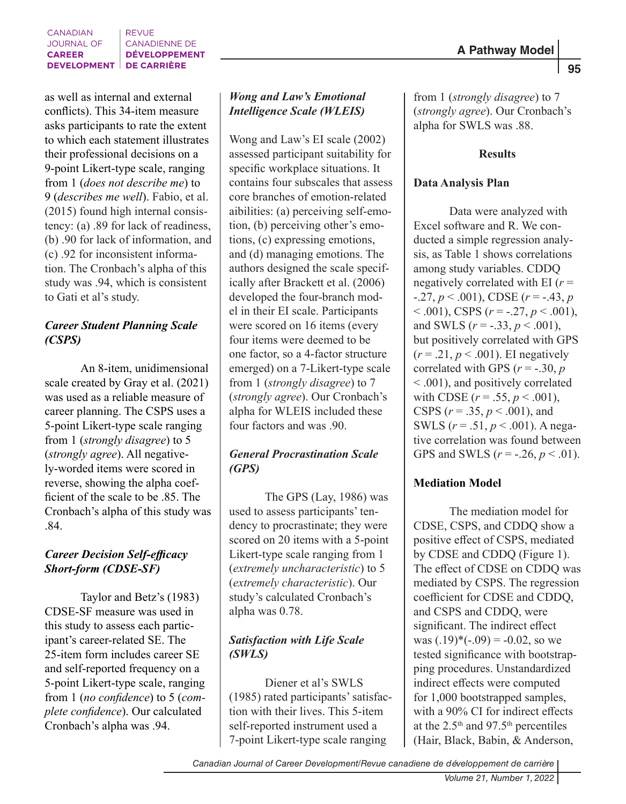as well as internal and external conflicts). This 34-item measure asks participants to rate the extent to which each statement illustrates their professional decisions on a 9-point Likert-type scale, ranging from 1 (*does not describe me*) to 9 (*describes me well*). Fabio, et al. (2015) found high internal consistency: (a) .89 for lack of readiness, (b) .90 for lack of information, and (c) .92 for inconsistent information. The Cronbach's alpha of this study was .94, which is consistent to Gati et al's study.

# *Career Student Planning Scale (CSPS)*

An 8-item, unidimensional scale created by Gray et al. (2021) was used as a reliable measure of career planning. The CSPS uses a 5-point Likert-type scale ranging from 1 (*strongly disagree*) to 5 (*strongly agree*). All negatively-worded items were scored in reverse, showing the alpha coefficient of the scale to be .85. The Cronbach's alpha of this study was .84.

# *Career Decision Self-efficacy Short-form (CDSE-SF)*

Taylor and Betz's (1983) CDSE-SF measure was used in this study to assess each participant's career-related SE. The 25-item form includes career SE and self-reported frequency on a 5-point Likert-type scale, ranging from 1 (*no confidence*) to 5 (*complete confidence*). Our calculated Cronbach's alpha was .94.

# *Wong and Law's Emotional Intelligence Scale (WLEIS)*

Wong and Law's EI scale (2002) assessed participant suitability for specific workplace situations. It contains four subscales that assess core branches of emotion-related aibilities: (a) perceiving self-emotion, (b) perceiving other's emotions, (c) expressing emotions, and (d) managing emotions. The authors designed the scale specifically after Brackett et al. (2006) developed the four-branch model in their EI scale. Participants were scored on 16 items (every four items were deemed to be one factor, so a 4-factor structure emerged) on a 7-Likert-type scale from 1 (*strongly disagree*) to 7 (*strongly agree*). Our Cronbach's alpha for WLEIS included these four factors and was .90.

# *General Procrastination Scale (GPS)*

The GPS (Lay, 1986) was used to assess participants' tendency to procrastinate; they were scored on 20 items with a 5-point Likert-type scale ranging from 1 (*extremely uncharacteristic*) to 5 (*extremely characteristic*). Our study's calculated Cronbach's alpha was 0.78.

# *Satisfaction with Life Scale (SWLS)*

Diener et al's SWLS (1985) rated participants' satisfaction with their lives. This 5-item self-reported instrument used a 7-point Likert-type scale ranging

from 1 (*strongly disagree*) to 7 (*strongly agree*). Our Cronbach's alpha for SWLS was .88.

# **Results**

# **Data Analysis Plan**

Data were analyzed with Excel software and R. We conducted a simple regression analysis, as Table 1 shows correlations among study variables. CDDQ negatively correlated with EI (*r* =  $-0.27, p \le 0.001$ , CDSE ( $r = -0.43, p$ ) < .001), CSPS (*r* = -.27, *p* < .001), and SWLS  $(r = -.33, p < .001)$ , but positively correlated with GPS  $(r=.21, p<.001)$ . EI negatively correlated with GPS  $(r = -.30, p)$ < .001), and positively correlated with CDSE  $(r = .55, p < .001)$ , CSPS (*r* = .35, *p* < .001), and SWLS (*r* = .51, *p* < .001). A negative correlation was found between GPS and SWLS ( $r = -.26, p < .01$ ).

# **Mediation Model**

The mediation model for CDSE, CSPS, and CDDQ show a positive effect of CSPS, mediated by CDSE and CDDQ (Figure 1). The effect of CDSE on CDDQ was mediated by CSPS. The regression coefficient for CDSE and CDDQ, and CSPS and CDDQ, were significant. The indirect effect was  $(.19)$ <sup>\*</sup> $(-.09) = -0.02$ , so we tested significance with bootstrapping procedures. Unstandardized indirect effects were computed for 1,000 bootstrapped samples, with a 90% CI for indirect effects at the  $2.5<sup>th</sup>$  and  $97.5<sup>th</sup>$  percentiles (Hair, Black, Babin, & Anderson,

 **95**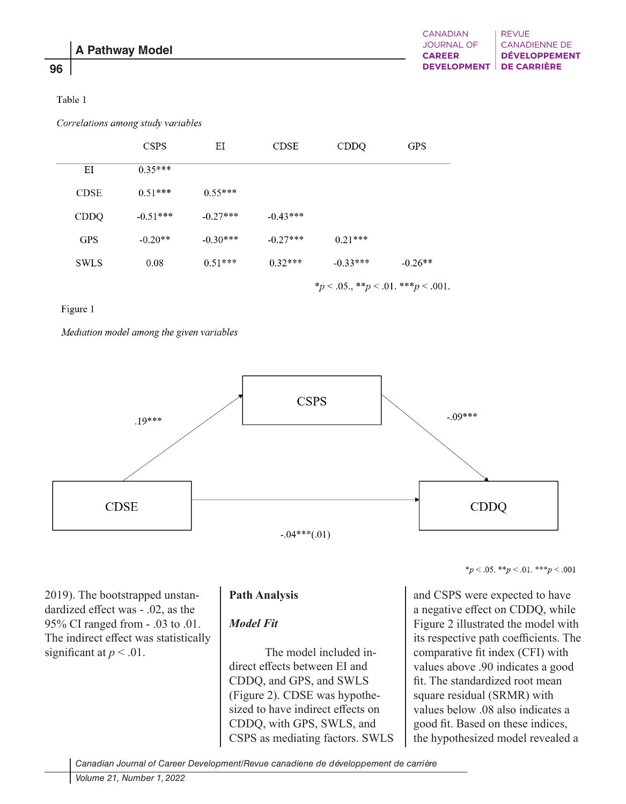# **96**

#### Table 1

Correlations among study variables

|             | <b>CSPS</b>                                 | ΕI         | <b>CDSE</b> | <b>CDDQ</b> | <b>GPS</b> |
|-------------|---------------------------------------------|------------|-------------|-------------|------------|
| ΕI          | $0.35***$                                   |            |             |             |            |
| <b>CDSE</b> | $0.51***$                                   | $0.55***$  |             |             |            |
| <b>CDDQ</b> | $-0.51***$                                  | $-0.27***$ | $-0.43***$  |             |            |
| <b>GPS</b>  | $-0.20**$                                   | $-0.30***$ | $-0.27***$  | $0.21***$   |            |
| <b>SWLS</b> | 0.08                                        | $0.51***$  | $0.32***$   | $-0.33***$  | $-0.26**$  |
|             | * $p < .05.,$ ** $p < .01.$ *** $p < .001.$ |            |             |             |            |

#### Figure 1

Mediation model among the given variables



2019). The bootstrapped unstandardized effect was - .02, as the 95% CI ranged from - .03 to .01. The indirect effect was statistically significant at  $p < .01$ .

# **Path Analysis**

# *Model Fit*

The model included indirect effects between EI and CDDQ, and GPS, and SWLS (Figure 2). CDSE was hypothesized to have indirect effects on CDDQ, with GPS, SWLS, and CSPS as mediating factors. SWLS \* $p < .05.$ \*\* $p < .01.$ \*\*\* $p < .001$ 

and CSPS were expected to have a negative effect on CDDQ, while Figure 2 illustrated the model with its respective path coefficients. The comparative fit index (CFI) with values above .90 indicates a good fit. The standardized root mean square residual (SRMR) with values below .08 also indicates a good fit. Based on these indices, the hypothesized model revealed a

*Canadian Journal of Career Development/Revue canadiene de développement de carrière*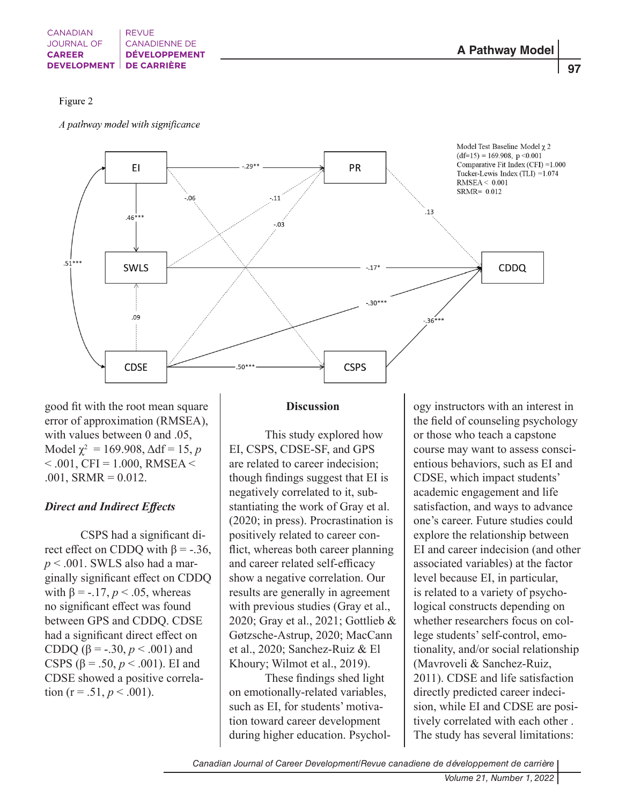#### Figure 2

A pathway model with significance



good fit with the root mean square error of approximation (RMSEA), with values between 0 and .05,  $\text{Model } \chi^2 = 169.908, \Delta df = 15, p$  $< .001$ , CFI = 1.000, RMSEA  $<$  $.001$ , SRMR = 0.012.

# *Direct and Indirect Effects*

CSPS had a significant direct effect on CDDQ with  $\beta$  = -.36, *p* < .001. SWLS also had a marginally significant effect on CDDQ with  $\beta = -17$ ,  $p < 0.05$ , whereas no significant effect was found between GPS and CDDQ. CDSE had a significant direct effect on CDDQ (β = -.30, *p* < .001) and CSPS (β = .50, *p* < .001). EI and CDSE showed a positive correlation ( $r = .51$ ,  $p < .001$ ).

#### **Discussion**

This study explored how EI, CSPS, CDSE-SF, and GPS are related to career indecision; though findings suggest that EI is negatively correlated to it, substantiating the work of Gray et al. (2020; in press). Procrastination is positively related to career conflict, whereas both career planning and career related self-efficacy show a negative correlation. Our results are generally in agreement with previous studies (Gray et al., 2020; Gray et al., 2021; Gottlieb & Gøtzsche-Astrup, 2020; MacCann et al., 2020; Sanchez-Ruiz & El Khoury; Wilmot et al., 2019).

These findings shed light on emotionally-related variables, such as EI, for students' motivation toward career development during higher education. Psychol-

ogy instructors with an interest in the field of counseling psychology or those who teach a capstone course may want to assess conscientious behaviors, such as EI and CDSE, which impact students' academic engagement and life satisfaction, and ways to advance one's career. Future studies could explore the relationship between EI and career indecision (and other associated variables) at the factor level because EI, in particular, is related to a variety of psychological constructs depending on whether researchers focus on college students' self-control, emotionality, and/or social relationship (Mavroveli & Sanchez-Ruiz, 2011). CDSE and life satisfaction directly predicted career indecision, while EI and CDSE are positively correlated with each other . The study has several limitations:

*Canadian Journal of Career Development/Revue canadiene de développement de carrière*

 **97**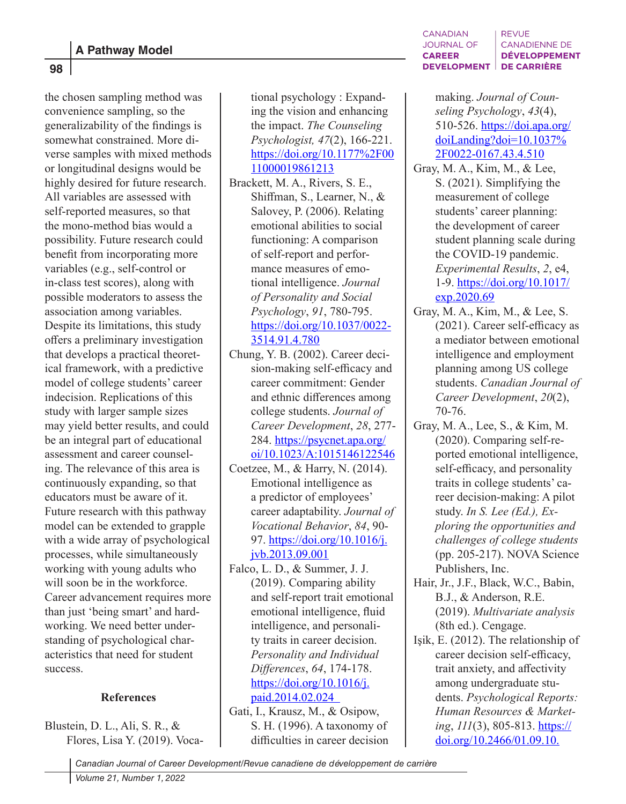**98**

the chosen sampling method was convenience sampling, so the generalizability of the findings is somewhat constrained. More diverse samples with mixed methods or longitudinal designs would be highly desired for future research. All variables are assessed with self-reported measures, so that the mono-method bias would a possibility. Future research could benefit from incorporating more variables (e.g., self-control or in-class test scores), along with possible moderators to assess the association among variables. Despite its limitations, this study offers a preliminary investigation that develops a practical theoretical framework, with a predictive model of college students' career indecision. Replications of this study with larger sample sizes may yield better results, and could be an integral part of educational assessment and career counseling. The relevance of this area is continuously expanding, so that educators must be aware of it. Future research with this pathway model can be extended to grapple with a wide array of psychological processes, while simultaneously working with young adults who will soon be in the workforce. Career advancement requires more than just 'being smart' and hardworking. We need better understanding of psychological characteristics that need for student success.

# **References**

Blustein, D. L., Ali, S. R., & Flores, Lisa Y. (2019). Vocational psychology : Expanding the vision and enhancing the impact. *The Counseling Psychologist, 47*(2), 166-221. https://doi.org/10.1177%2F00 11000019861213

- Brackett, M. A., Rivers, S. E., Shiffman, S., Learner, N., & Salovey, P. (2006). Relating emotional abilities to social functioning: A comparison of self-report and performance measures of emotional intelligence. *Journal of Personality and Social Psychology*, *91*, 780-795. https://doi.org/10.1037/0022- 3514.91.4.780
- Chung, Y. B. (2002). Career decision-making self-efficacy and career commitment: Gender and ethnic differences among college students. *Journal of Career Development*, *28*, 277- 284. https://psycnet.apa.org/ oi/10.1023/A:1015146122546
- Coetzee, M., & Harry, N. (2014). Emotional intelligence as a predictor of employees' career adaptability. *Journal of Vocational Behavior*, *84*, 90- 97. https://doi.org/10.1016/j. jvb.2013.09.001
- Falco, L. D., & Summer, J. J. (2019). Comparing ability and self-report trait emotional emotional intelligence, fluid intelligence, and personality traits in career decision. *Personality and Individual Differences*, *64*, 174-178. https://doi.org/10.1016/j. paid.2014.02.024
- Gati, I., Krausz, M., & Osipow, S. H. (1996). A taxonomy of difficulties in career decision

#### **CANADIAN REVUE JOURNAL OF CANADIENNE DE DÉVELOPPEMENT CAREER DEVELOPMENT DE CARRIÈRE**

making. *Journal of Counseling Psychology*, *43*(4), 510-526. https://doi.apa.org/ doiLanding?doi=10.1037% 2F0022-0167.43.4.510

- Gray, M. A., Kim, M., & Lee, S. (2021). Simplifying the measurement of college students' career planning: the development of career student planning scale during the COVID-19 pandemic. *Experimental Results*, *2*, e4, 1-9. https://doi.org/10.1017/ exp.2020.69
- Gray, M. A., Kim, M., & Lee, S. (2021). Career self-efficacy as a mediator between emotional intelligence and employment planning among US college students. *Canadian Journal of Career Development*, *20*(2), 70-76.
- Gray, M. A., Lee, S., & Kim, M. (2020). Comparing self-reported emotional intelligence, self-efficacy, and personality traits in college students' career decision-making: A pilot study. *In S. Lee (Ed.), Exploring the opportunities and challenges of college students*  (pp. 205-217). NOVA Science Publishers, Inc.
- Hair, Jr., J.F., Black, W.C., Babin, B.J., & Anderson, R.E. (2019). *Multivariate analysis*  (8th ed.). Cengage.
- Işik, E. (2012). The relationship of career decision self-efficacy, trait anxiety, and affectivity among undergraduate students. *Psychological Reports: Human Resources & Marketing*, *111*(3), 805-813. https:// doi.org/10.2466/01.09.10.

*Canadian Journal of Career Development/Revue canadiene de développement de carrière*